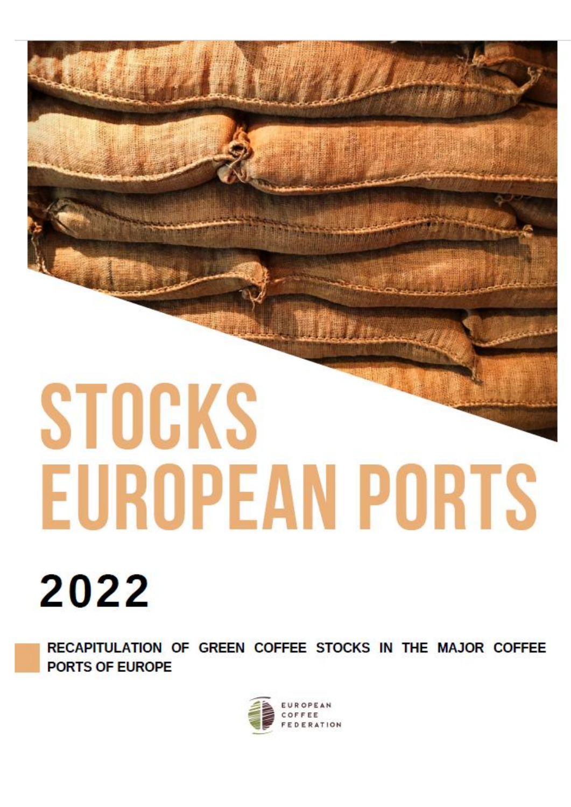# STOCKS **EUROPEAN PORTS**

# 2022

RECAPITULATION OF GREEN COFFEE STOCKS IN THE MAJOR COFFEE PORTS OF EUROPE

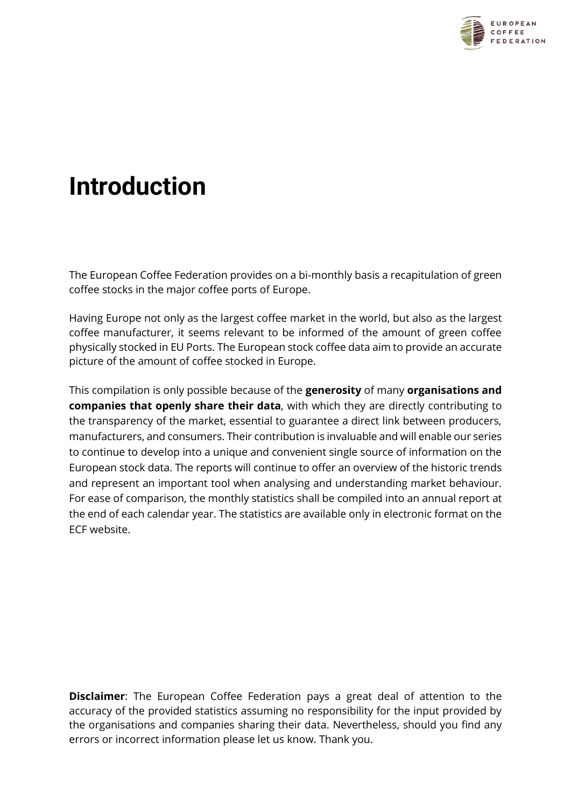

### **Introduction**

The European Coffee Federation provides on a bi-monthly basis a recapitulation of green coffee stocks in the major coffee ports of Europe.

Having Europe not only as the largest coffee market in the world, but also as the largest coffee manufacturer, it seems relevant to be informed of the amount of green coffee physically stocked in EU Ports. The European stock coffee data aim to provide an accurate picture of the amount of coffee stocked in Europe.

This compilation is only possible because of the **generosity** of many **organisations and companies that openly share their data**, with which they are directly contributing to the transparency of the market, essential to guarantee a direct link between producers, manufacturers, and consumers. Their contribution is invaluable and will enable our series to continue to develop into a unique and convenient single source of information on the European stock data. The reports will continue to offer an overview of the historic trends and represent an important tool when analysing and understanding market behaviour. For ease of comparison, the monthly statistics shall be compiled into an annual report at the end of each calendar year. The statistics are available only in electronic format on the ECF website.

**Disclaimer**: The European Coffee Federation pays a great deal of attention to the accuracy of the provided statistics assuming no responsibility for the input provided by the organisations and companies sharing their data. Nevertheless, should you find any errors or incorrect information please let us know. Thank you.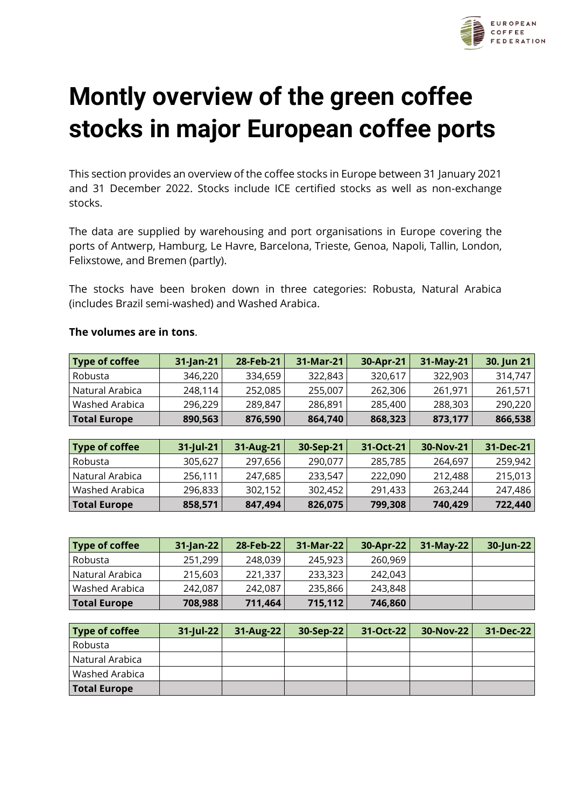

# **Montly overview of the green coffee stocks in major European coffee ports**

This section provides an overview of the coffee stocks in Europe between 31 January 2021 and 31 December 2022. Stocks include ICE certified stocks as well as non-exchange stocks.

The data are supplied by warehousing and port organisations in Europe covering the ports of Antwerp, Hamburg, Le Havre, Barcelona, Trieste, Genoa, Napoli, Tallin, London, Felixstowe, and Bremen (partly).

The stocks have been broken down in three categories: Robusta, Natural Arabica (includes Brazil semi-washed) and Washed Arabica.

| Type of coffee      | $31$ -Jan-21 | 28-Feb-21            | 31-Mar-21 | 30-Apr-21       | 31-May-21 | 30. Jun 21 |
|---------------------|--------------|----------------------|-----------|-----------------|-----------|------------|
| Robusta             | 346,220      | 334,659              | 322,843   | 320,617         | 322,903   | 314,747    |
| Natural Arabica     | 248,114      | 252,085              | 255,007   | 262,306         | 261,971   | 261,571    |
| Washed Arabica      | 296,229      | 289,847              | 286,891   | 285,400         | 288,303   | 290,220    |
| <b>Total Europe</b> | 890,563      | 876,590              | 864,740   | 868,323         | 873,177   | 866,538    |
|                     |              |                      |           |                 |           |            |
| Tyne of coffee      | 31-Jul-21    | $31 - \Delta$ 119-21 | 30-Sen-21 | $31 - 0ct - 21$ | 30-Nov-21 | 31-Dec-21  |

#### **The volumes are in tons**.

| Type of coffee      | $31$ -Jul-21 | 31-Aug-21 | 30-Sep-21 | 31-Oct-21 | 30-Nov-21 | 31-Dec-21 |
|---------------------|--------------|-----------|-----------|-----------|-----------|-----------|
| Robusta             | 305,627      | 297,656   | 290,077   | 285,785   | 264,697   | 259,942   |
| Natural Arabica     | 256,111      | 247,685   | 233.547   | 222,090   | 212,488   | 215,013   |
| Washed Arabica      | 296,833      | 302.152   | 302,452   | 291,433   | 263.244   | 247,486   |
| <b>Total Europe</b> | 858,571      | 847,494   | 826,075   | 799,308   | 740,429   | 722,440   |

| Type of coffee        | 31-Jan-22 | 28-Feb-22 | 31-Mar-22 | 30-Apr-22 | 31-May-22 | 30-Jun-22 |
|-----------------------|-----------|-----------|-----------|-----------|-----------|-----------|
| Robusta               | 251,299   | 248,039   | 245,923   | 260,969   |           |           |
| Natural Arabica       | 215,603   | 221,337   | 233,323   | 242,043   |           |           |
| <b>Washed Arabica</b> | 242,087   | 242,087   | 235,866   | 243,848   |           |           |
| <b>Total Europe</b>   | 708,988   | 711,464   | 715, 112  | 746,860   |           |           |

| <b>Type of coffee</b> | $31$ -Jul-22 | $31-Aug-22$ | $30-Sep-22$ | $31-Oct-22$ | <b>30-Nov-221</b> | 31-Dec-22 |
|-----------------------|--------------|-------------|-------------|-------------|-------------------|-----------|
| Robusta               |              |             |             |             |                   |           |
| Natural Arabica       |              |             |             |             |                   |           |
| Washed Arabica        |              |             |             |             |                   |           |
| <b>Total Europe</b>   |              |             |             |             |                   |           |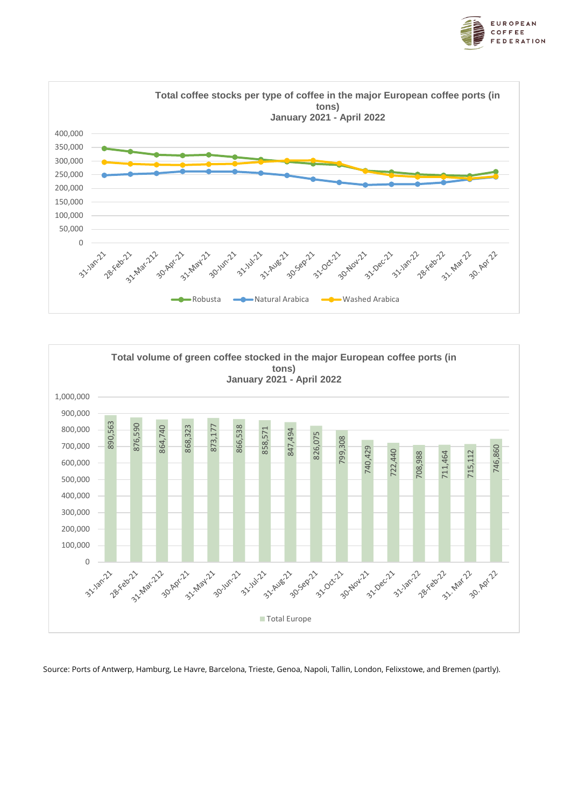





Source: Ports of Antwerp, Hamburg, Le Havre, Barcelona, Trieste, Genoa, Napoli, Tallin, London, Felixstowe, and Bremen (partly).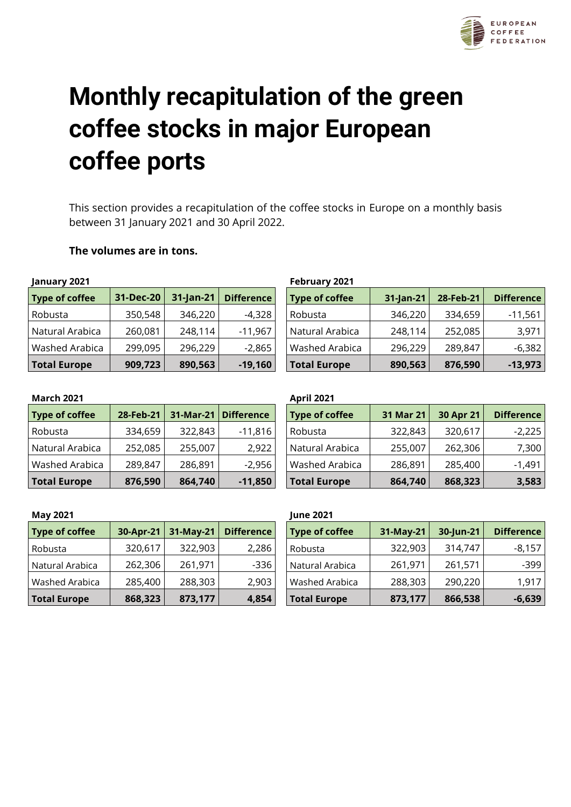

# **Monthly recapitulation of the green coffee stocks in major European coffee ports**

This section provides a recapitulation of the coffee stocks in Europe on a monthly basis between 31 January 2021 and 30 April 2022.

#### **The volumes are in tons.**

| January 2021          |           |           |                   |
|-----------------------|-----------|-----------|-------------------|
| <b>Type of coffee</b> | 31-Dec-20 | 31-Jan-21 | <b>Difference</b> |
| Robusta               | 350,548   | 346,220   | $-4,328$          |
| Natural Arabica       | 260,081   | 248,114   | $-11,967$         |
| Washed Arabica        | 299,095   | 296,229   | $-2,865$          |
| <b>Total Europe</b>   | 909,723   | 890,563   | $-19,160$         |

#### **January 2021 February 2021**

| <b>Type of coffee</b> | 31-Dec-20 | $31$ -Jan-21 | Difference | Type of coffee        | 31-Jan-21 | 28-Feb-21 | <b>Difference</b> |
|-----------------------|-----------|--------------|------------|-----------------------|-----------|-----------|-------------------|
| Robusta               | 350,548   | 346,220      | -4,328     | Robusta               | 346,220   | 334,659   | $-11,561$         |
| Natural Arabica       | 260,081   | 248,114      | $-11,967$  | Natural Arabica       | 248,114   | 252,085   | 3,971             |
| Washed Arabica        | 299,095   | 296,229      | $-2,865$   | <b>Washed Arabica</b> | 296,229   | 289,847   | $-6,382$          |
| <b>Total Europe</b>   | 909,723   | 890,563      | $-19,160$  | <b>Total Europe</b>   | 890,563   | 876,590   | $-13,973$         |

#### **March 2021 April 2021**

| <b>Type of coffee</b> | 28-Feb-21 | 31-Mar-21 | <b>Difference</b> |
|-----------------------|-----------|-----------|-------------------|
| Robusta               | 334,659   | 322,843   | $-11,816$         |
| Natural Arabica       | 252,085   | 255,007   | 2,922             |
| Washed Arabica        | 289,847   | 286,891   | $-2,956$          |
| <b>Total Europe</b>   | 876,590   | 864,740   | $-11,850$         |

| IVIAI LII LUL I       |           |           |                   | APULAULI              |           |           |                   |
|-----------------------|-----------|-----------|-------------------|-----------------------|-----------|-----------|-------------------|
| <b>Type of coffee</b> | 28-Feb-21 | 31-Mar-21 | <b>Difference</b> | <b>Type of coffee</b> | 31 Mar 21 | 30 Apr 21 | <b>Difference</b> |
| Robusta               | 334,659   | 322,843   | $-11,816$         | Robusta               | 322,843   | 320,617   | $-2,225$          |
| Natural Arabica       | 252,085   | 255,007   | 2,922             | Natural Arabica       | 255,007   | 262,306   | 7,300             |
| Washed Arabica        | 289,847   | 286,891   | $-2,956$          | <b>Washed Arabica</b> | 286,891   | 285,400   | $-1,491$          |
| <b>Total Europe</b>   | 876,590   | 864,740   | $-11,850$         | <b>Total Europe</b>   | 864,740   | 868,323   | 3,583             |

#### **May 2021 June 2021**

| <b>Type of coffee</b> | 30-Apr-21 | 31-May-21 | <b>Difference</b> |
|-----------------------|-----------|-----------|-------------------|
| Robusta               | 320,617   | 322,903   | 2,286             |
| Natural Arabica       | 262,306   | 261,971   | -336              |
| Washed Arabica        | 285,400   | 288,303   | 2,903             |
| <b>Total Europe</b>   | 868,323   | 873,177   | 4,854             |

| <b>Type of coffee</b> | 30-Apr-21 | 31-May-21 | Difference | <b>Type of coffee</b> | $31-May-21$ | 30-Jun-21 | <b>Difference</b> |
|-----------------------|-----------|-----------|------------|-----------------------|-------------|-----------|-------------------|
| Robusta               | 320,617   | 322,903   | 2,286      | Robusta               | 322,903     | 314,747   | $-8,157$          |
| Natural Arabica       | 262,306   | 261,971   | $-336$     | Natural Arabica       | 261,971     | 261,571   | $-399$            |
| Washed Arabica        | 285,400   | 288,303   | 2,903      | Washed Arabica        | 288,303     | 290,220   | 1,917             |
| <b>Total Europe</b>   | 868,323   | 873,177   | 4,854      | <b>Total Europe</b>   | 873,177     | 866,538   | $-6,639$          |